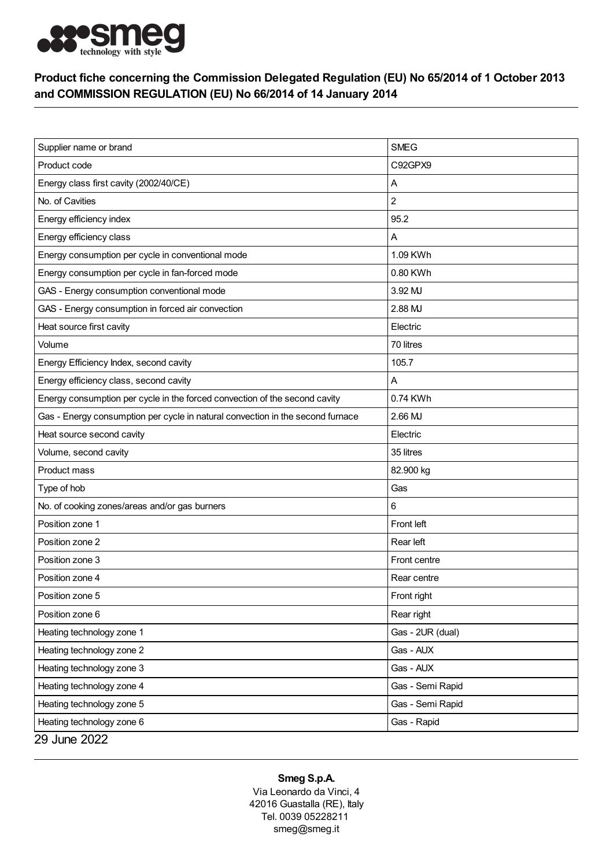

## Product fiche concerning the Commission Delegated Regulation (EU) No 65/2014 of 1 October 2013 and COMMISSION REGULATION (EU) No 66/2014 of 14 January 2014

| Supplier name or brand                                                         | <b>SMEG</b>      |
|--------------------------------------------------------------------------------|------------------|
| Product code                                                                   | C92GPX9          |
| Energy class first cavity (2002/40/CE)                                         | Α                |
| No. of Cavities                                                                | 2                |
| Energy efficiency index                                                        | 95.2             |
| Energy efficiency class                                                        | Α                |
| Energy consumption per cycle in conventional mode                              | 1.09 KWh         |
| Energy consumption per cycle in fan-forced mode                                | 0.80 KWh         |
| GAS - Energy consumption conventional mode                                     | 3.92 MJ          |
| GAS - Energy consumption in forced air convection                              | 2.88 MJ          |
| Heat source first cavity                                                       | Electric         |
| Volume                                                                         | 70 litres        |
| Energy Efficiency Index, second cavity                                         | 105.7            |
| Energy efficiency class, second cavity                                         | A                |
| Energy consumption per cycle in the forced convection of the second cavity     | 0.74 KWh         |
| Gas - Energy consumption per cycle in natural convection in the second furnace | 2.66 MJ          |
| Heat source second cavity                                                      | Electric         |
| Volume, second cavity                                                          | 35 litres        |
| Product mass                                                                   | 82.900 kg        |
| Type of hob                                                                    | Gas              |
| No. of cooking zones/areas and/or gas burners                                  | 6                |
| Position zone 1                                                                | Front left       |
| Position zone 2                                                                | Rear left        |
| Position zone 3                                                                | Front centre     |
| Position zone 4                                                                | Rear centre      |
| Position zone 5                                                                | Front right      |
| Position zone 6                                                                | Rear right       |
| Heating technology zone 1                                                      | Gas - 2UR (dual) |
| Heating technology zone 2                                                      | Gas - AUX        |
| Heating technology zone 3                                                      | Gas - AUX        |
| Heating technology zone 4                                                      | Gas - Semi Rapid |
| Heating technology zone 5                                                      | Gas - Semi Rapid |
| Heating technology zone 6                                                      | Gas - Rapid      |
| 29 June 2022                                                                   |                  |

## Smeg S.p.A.

Via Leonardo da Vinci, 4 42016 Guastalla (RE), Italy Tel. 0039 05228211 smeg@smeg.it